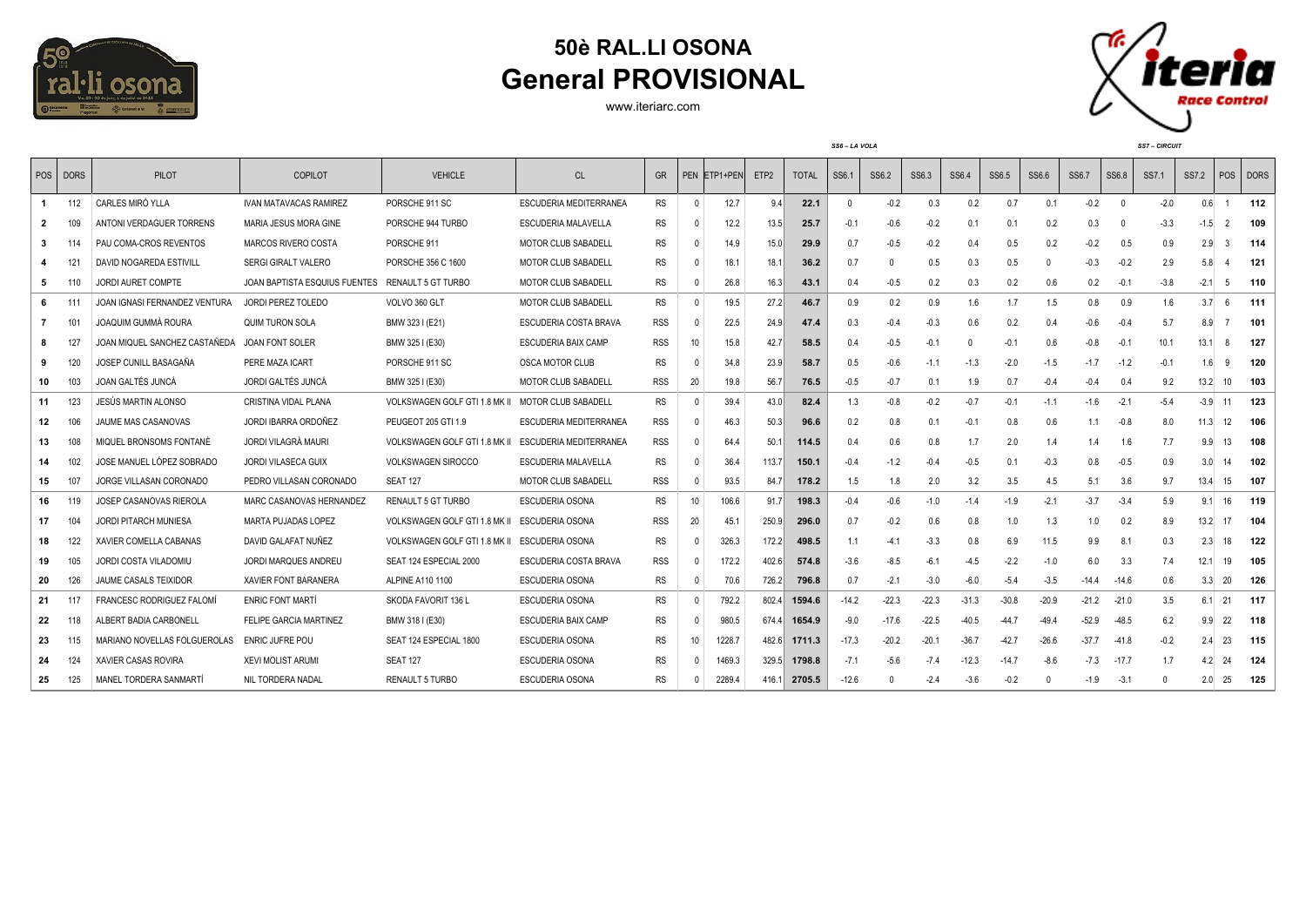

## **50è RAL.LI OSONA General PROVISIONAL**

www.iteriarc.com



|    |            |                                 |                               |                                                      |                            |            |                 |              |                  | SS6-LA VOLA  |              |         |         |         |         | <b>SS7-CIRCUIT</b> |         |          |          |              |               |             |
|----|------------|---------------------------------|-------------------------------|------------------------------------------------------|----------------------------|------------|-----------------|--------------|------------------|--------------|--------------|---------|---------|---------|---------|--------------------|---------|----------|----------|--------------|---------------|-------------|
|    | POS   DORS | <b>PILOT</b>                    | <b>COPILOT</b>                | <b>VEHICLE</b>                                       | CL                         | <b>GR</b>  |                 | PEN ETP1+PEN | ETP <sub>2</sub> | <b>TOTAL</b> | SS6.1        | SS6.2   | SS6.3   | SS6.4   | SS6.5   | SS6.6              | SS6.7   | SS6.8    | SS7.1    | <b>SS7.2</b> | POS           | <b>DORS</b> |
|    | 112        | CARLES MIRÓ YLLA                | <b>IVAN MATAVACAS RAMIREZ</b> | PORSCHE 911 SC                                       | ESCUDERIA MEDITERRANEA     | RS         | $\mathbf{0}$    | 12.7         | 9.4              | 22.1         | $\mathbf{0}$ | $-0.2$  | 0.3     | 0.2     | 0.7     | 0.1                | $-0.2$  | $\Omega$ | $-2.0$   | 0.6          |               | 112         |
| 2  | 109        | ANTONI VERDAGUER TORRENS        | MARIA JESUS MORA GINE         | PORSCHE 944 TURBO                                    | ESCUDERIA MALAVELLA        | RS         |                 | 12.2         | 13.5             | 25.7         | $-0.1$       | $-0.6$  | $-0.2$  | 0.1     | 0.1     | 0.2                | 0.3     | $\cup$   | $-3.3$   | $-1.5$       | $\mathcal{P}$ | 109         |
| 3  |            | PAU COMA-CROS REVENTOS          | MARCOS RIVERO COSTA           | PORSCHE 911                                          | <b>MOTOR CLUB SABADELL</b> | RS         |                 | 14.9         | 15.0             | 29.9         | 0.7          | $-0.5$  | $-0.2$  | 0.4     | 0.5     | 0.2                | $-0.2$  | 0.5      | 0.9      | 2.9          | 3             | 114         |
| 4  | 121        | DAVID NOGAREDA ESTIVILL         | <b>SERGI GIRALT VALERO</b>    | PORSCHE 356 C 1600                                   | MOTOR CLUB SABADELL        | RS         |                 | 18.1         | 18.1             | 36.2         | 0.7          |         | 0.5     | 0.3     | 0.5     | $\Omega$           | $-0.3$  | $-0.2$   | 2.9      | 5.8          |               | 121         |
| 5  |            | <b>JORDI AURET COMPTE</b>       | JOAN BAPTISTA ESQUIUS FUENTES | RENAULT 5 GT TURBO                                   | MOTOR CLUB SABADELL        | RS         |                 | 26.8         | 16.3             | 43.1         | 0.4          | $-0.5$  | 0.2     | 0.3     | 0.2     | 0.6                | 0.2     | $-0.1$   | $-3.8$   | $-2.1$       | -5            | 110         |
| 6  |            | JOAN IGNASI FERNANDEZ VENTURA   | <b>JORDI PEREZ TOLEDO</b>     | VOLVO 360 GLT                                        | MOTOR CLUB SABADELL        | RS         |                 | 19.5         | 27.2             | 46.7         | 0.9          | 0.2     | 0.9     | 1.6     | 1.7     | 1.5                | 0.8     | 0.9      | 1.6      | 3.7          | 6             | 111         |
| 7  | 101        | JOAQUIM GUMMÀ ROURA             | <b>QUIM TURON SOLA</b>        | BMW 323 I (E21)                                      | ESCUDERIA COSTA BRAVA      | <b>RSS</b> |                 | 22.5         | 24.9             | 47.4         | 0.3          | $-0.4$  | $-0.3$  | 0.6     | 0.2     | 0.4                | $-0.6$  | $-0.4$   | 5.7      | 8.9          |               | 101         |
| 8  | 127        | JOAN MIQUEL SANCHEZ CASTAÑEDA   | JOAN FONT SOLER               | BMW 325 I (E30)                                      | ESCUDERIA BAIX CAMP        | <b>RSS</b> | 10              | 15.8         | 42.7             | 58.5         | 0.4          | $-0.5$  | $-0.1$  |         | $-0.1$  | 0.6                | $-0.8$  | $-0.1$   | 10.1     | 13.1         |               | 127         |
| 9  | 120        | JOSEP CUNILL BASAGAÑA           | PERE MAZA ICART               | PORSCHE 911 SC                                       | <b>OSCA MOTOR CLUB</b>     | RS         |                 | 34.8         | 23.9             | 58.7         | 0.5          | $-0.6$  | $-1.1$  | $-1.3$  | $-2.0$  | $-1.5$             | $-1.7$  | $-1.2$   | $-0.1$   | 1.6          | q             | 120         |
| 10 | 103        | JOAN GALTÉS JUNCA               | JORDI GALTÉS JUNCÁ            | BMW 325 I (E30)                                      | <b>MOTOR CLUB SABADELL</b> | <b>RSS</b> | 20              | 19.8         | 56.7             | 76.5         | $-0.5$       | $-0.7$  | 0.1     | 1.9     | 0.7     | $-0.4$             | $-0.4$  | 0.4      | 9.2      | 13.2         | 10            | 103         |
| 11 | 123        | JESÚS MARTIN ALONSO             | <b>CRISTINA VIDAL PLANA</b>   | <b>VOLKSWAGEN GOLF GTI 1.8 MK II</b>                 | MOTOR CLUB SABADELL        | RS         | $\Omega$        | 39.4         | 43.0             | 82.4         | 1.3          | $-0.8$  | $-0.2$  | $-0.7$  | $-0.1$  | $-1.1$             | $-1.6$  | $-2.1$   | $-5.4$   | $-3.9$       | 11            | 123         |
| 12 | 106        | JAUME MAS CASANOVAS             | JORDI IBARRA ORDOÑEZ          | PEUGEOT 205 GTI 1.9                                  | ESCUDERIA MEDITERRANEA     | <b>RSS</b> | $\mathsf{D}$    | 46.3         | 50.3             | 96.6         | 0.2          | 0.8     | 0.1     | $-0.1$  | 0.8     | 0.6                | 1.1     | $-0.8$   | 8.0      | 11.3         | 12            | 106         |
| 13 | 108        | MIQUEL BRONSOMS FONTANÉ         | JORDI VILAGRÀ MAURI           | VOLKSWAGEN GOLF GTI 1.8 MK II ESCUDERIA MEDITERRANEA |                            | <b>RSS</b> |                 | 64.4         | 50.1             | 114.5        | 0.4          | 0.6     | 0.8     | 1.7     | 2.0     | 1.4                | 1.4     | 1.6      | 7.7      | 9.9          | 13            | 108         |
| 14 | 102        | JOSE MANUEL LÓPEZ SOBRADC       | <b>JORDI VILASECA GUIX</b>    | <b>VOLKSWAGEN SIROCCO</b>                            | ESCUDERIA MALAVELLA        | RS         |                 | 36.4         | 113.7            | 150.1        | $-0.4$       | $-1.2$  | $-0.4$  | $-0.5$  | 0.1     | $-0.3$             | 0.8     | $-0.5$   | 0.9      | 3.0          |               | 102         |
| 15 | 107        | JORGE VILLASAN CORONADO         | PEDRO VILLASAN CORONADO       | <b>SEAT 127</b>                                      | <b>MOTOR CLUB SABADELL</b> | <b>RSS</b> | $\Omega$        | 93.5         | 84.7             | 178.2        | 1.5          | 1.8     | 2.0     | 3.2     | 3.5     | 4.5                | 5.1     | 3.6      | 9.7      | 13.4         | 15            | 107         |
| 16 | 119        | JOSEP CASANOVAS RIEROLA         | MARC CASANOVAS HERNANDEZ      | RENAULT 5 GT TURBO                                   | <b>ESCUDERIA OSONA</b>     | RS         | 10 <sup>°</sup> | 106.6        | 91.7             | 198.3        | $-0.4$       | $-0.6$  | $-1.0$  | $-1.4$  | $-1.9$  | $-2.1$             | $-3.7$  | $-3.4$   | 5.9      | 9.1          | 16            | 119         |
| 17 | 104        | <b>JORDI PITARCH MUNIESA</b>    | <b>MARTA PUJADAS LOPEZ</b>    | VOLKSWAGEN GOLF GTI 1.8 MK II                        | ESCUDERIA OSONA            | <b>RSS</b> | 20              | 45.1         | 250.9            | 296.0        | 0.7          | $-0.2$  | 0.6     | 0.8     | 1.0     | 1.3                | 1.0     | 0.2      | 8.9      | 13.2         | 17            | 104         |
| 18 | 122        | XAVIER COMELLA CABANAS          | DAVID GALAFAT NUÑEZ           | VOLKSWAGEN GOLF GTI 1.8 MK II ESCUDERIA OSONA        |                            | RS         | $\mathsf{D}$    | 326.3        | 172.2            | 498.5        | 1.1          | $-4.1$  | $-3.3$  | 0.8     | 6.9     | 11.5               | 9.9     | 8.1      | 0.3      | 2.3          | 18            | 122         |
| 19 | 105        | JORDI COSTA VILADOMIU           | <b>JORDI MARQUES ANDREU</b>   | SEAT 124 ESPECIAL 2000                               | ESCUDERIA COSTA BRAVA      | <b>RSS</b> | $\Omega$        | 172.2        | 402.6            | 574.8        | $-3.6$       | $-8.5$  | $-6.1$  | $-4.5$  | $-2.2$  | $-1.0$             | 6.0     | 3.3      | 7.4      | 12.1         | 19            | 105         |
| 20 | 126        | JAUME CASALS TEIXIDOR           | XAVIER FONT BARANERA          | ALPINE A110 1100                                     | <b>ESCUDERIA OSONA</b>     | <b>RS</b>  | $\mathsf{D}$    | 70.6         | 726.2            | 796.8        | 0.7          | $-2.1$  | $-3.0$  | $-6.0$  | $-5.4$  | $-3.5$             | -14.4   | $-14.6$  | 0.6      | 3.3          | 20            | 126         |
| 21 | 117        | <b>FRANCESC RODRIGUEZ FALOM</b> | <b>ENRIC FONT MARTÍ</b>       | SKODA FAVORIT 136 L                                  | <b>ESCUDERIA OSONA</b>     | RS         | $\mathsf{D}$    | 792.2        | 802.4            | 1594.6       | $-14.2$      | $-22.3$ | $-22.3$ | $-31.3$ | $-30.8$ | $-20.9$            | $-21.2$ | $-21.0$  | 3.5      | 6.1          | 21            | - 117       |
| 22 |            | ALBERT BADIA CARBONELL          | FELIPE GARCIA MARTINEZ        | BMW 318 I (E30)                                      | <b>ESCUDERIA BAIX CAMP</b> | <b>RS</b>  | $\mathsf{D}$    | 980.5        | 674.4            | 1654.9       | $-9.0$       | $-17.6$ | $-22.5$ | $-40.5$ | $-44.$  | $-49.4$            | $-52.9$ | $-48.5$  | 6.2      | 9.9          | 22            | 118         |
| 23 | 115        | MARIANO NOVELLAS FOLGUEROLAS    | <b>ENRIC JUFRE POU</b>        | SEAT 124 ESPECIAL 1800                               | <b>ESCUDERIA OSONA</b>     | <b>RS</b>  | 10              | 1228.7       |                  | 482.6 1711.3 | $-17.3$      | $-20.2$ | $-20.1$ | $-36.7$ | $-42.$  | $-26.6$            | $-37.7$ | $-41.8$  | $-0.2$   | 2.4          | 23            | 115         |
| 24 | 124        | <b>XAVIER CASAS ROVIRA</b>      | <b>XEVI MOLIST ARUMI</b>      | <b>SEAT 127</b>                                      | <b>ESCUDERIA OSONA</b>     | <b>RS</b>  |                 | 1469.3       |                  | 329.5 1798.8 | $-7.1$       | $-5.6$  | $-7.4$  | $-12.3$ | $-14.7$ | $-8.6$             | $-7.3$  | $-17.7$  | 1.7      | 4.2          | 24            | 124         |
| 25 | 125        | MANEL TORDERA SANMARTÍ          | NIL TORDERA NADAL             | RENAULT 5 TURBO                                      | ESCUDERIA OSONA            | <b>RS</b>  |                 | 2289.4       | 416.1            | 2705.5       | $-12.6$      |         | $-2.4$  | $-3.6$  | $-0.2$  |                    | $-1.9$  | $-3.1$   | $\Omega$ | 2.0          | 25            | 125         |